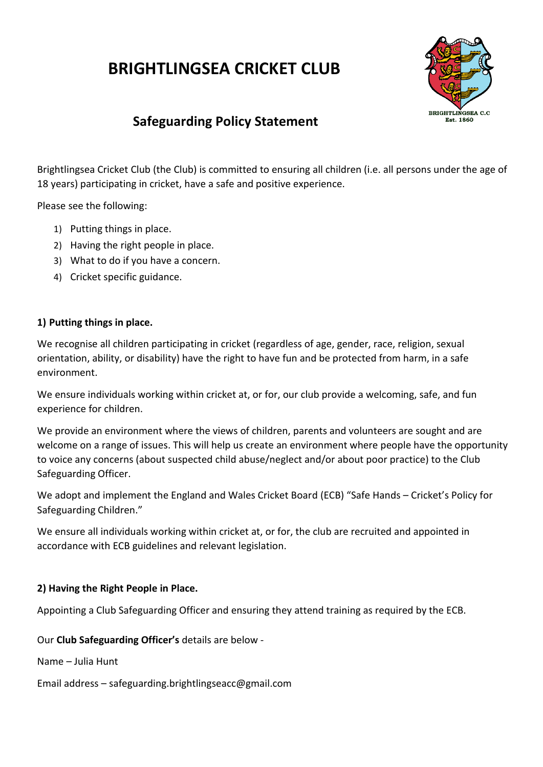# **BRIGHTLINGSEA CRICKET CLUB**



# **Safeguarding Policy Statement**

Brightlingsea Cricket Club (the Club) is committed to ensuring all children (i.e. all persons under the age of 18 years) participating in cricket, have a safe and positive experience.

Please see the following:

- 1) Putting things in place.
- 2) Having the right people in place.
- 3) What to do if you have a concern.
- 4) Cricket specific guidance.

#### **1) Putting things in place.**

We recognise all children participating in cricket (regardless of age, gender, race, religion, sexual orientation, ability, or disability) have the right to have fun and be protected from harm, in a safe environment.

We ensure individuals working within cricket at, or for, our club provide a welcoming, safe, and fun experience for children.

We provide an environment where the views of children, parents and volunteers are sought and are welcome on a range of issues. This will help us create an environment where people have the opportunity to voice any concerns (about suspected child abuse/neglect and/or about poor practice) to the Club Safeguarding Officer.

We adopt and implement the England and Wales Cricket Board (ECB) "Safe Hands – Cricket's Policy for Safeguarding Children."

We ensure all individuals working within cricket at, or for, the club are recruited and appointed in accordance with ECB guidelines and relevant legislation.

#### **2) Having the Right People in Place.**

Appointing a Club Safeguarding Officer and ensuring they attend training as required by the ECB.

Our **Club Safeguarding Officer's** details are below -

Name – Julia Hunt

Email address – safeguarding.brightlingseacc@gmail.com